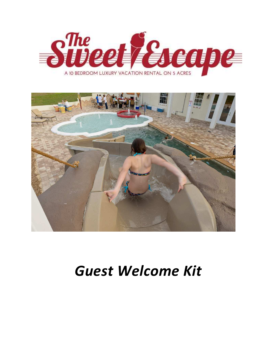



### *Guest Welcome Kit*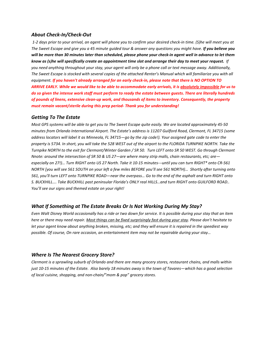#### *About Check-In/Check-Out*

 *1-2 days prior to your arrival, an agent will phone you to confirm your desired check-in time. (S)he will meet you at The Sweet Escape and give you a 45 minute guided tour & answer any questions you might have. If you believe you will be more than 30 minutes later than scheduled, please phone your check-in agent well in advance to let them know as (s)he will specifically create an appointment time slot and arrange their day to meet your request. If you need anything throughout your stay, your agent will only be a phone call or text message away. Additionally, The Sweet Escape is stocked with several copies of the attached Renter's Manual which will familiarize you with all equipment. If you haven't already arranged for an early check-in, please note that there is NO OPTION TO ARRIVE EARLY. While we would like to be able to accommodate early arrivals, it is absolutely impossible for us to do so given the intense work staff must perform to ready the estate between guests. There are literally hundreds of pounds of linens, extensive clean-up work, and thousands of items to inventory. Consequently, the property must remain vacant/sterile during this prep period- Thank you for understanding!*

#### *Getting To The Estate*

*Most GPS systems will be able to get you to The Sweet Escape quite easily. We are located approximately 45-50 minutes from Orlando International Airport. The Estate's address is 11207 Guilford Road, Clermont, FL 34715 (some address locators will label it as Minneola, FL 34715—go by the zip code!). Your assigned gate code to enter the property is 5734. In short, you will take the 528 WEST out of the airport to the FLORIDA TURNPIKE NORTH. Take the Turnpike NORTH to the exit for Clermont/Winter Garden / SR 50. Turn LEFT onto SR 50 WEST. Go through Clermont Nnote: around the intersection of SR 50 & US 27—are where many strip malls, chain restaurants, etc; are especially on 27!)… Turn RIGHT onto US 27 North. Take it 10-15 minutes---until you can turn RIGHT\* onto CR-561 NORTH [you will see 561 SOUTH on your left a few miles BEFORE you'll see 561 NORTH)… Shortly after turning onto 561, you'll turn LEFT onto TURNPIKE ROAD—near the overpass… Go to the end of the asphalt and turn RIGHT onto S. BUCKHILL…. Take BUCKHILL past peninsular Florida's ONLY real HILLS…and turn RIGHT onto GUILFORD ROAD.. You'll see our signs and themed estate on your right!* 

#### *What If Something at The Estate Breaks Or Is Not Working During My Stay?*

*Even Walt Disney World occasionally has a ride or two down for service. It is possible during your stay that an item here or there may need repair. Most things can be fixed surprisingly fast during your stay. Please don't hesitate to let your agent know about anything broken, missing, etc; and they will ensure it is repaired in the speediest way possible. Of course, On rare occasion, an entertainment item may not be repairable during your stay…* 

#### *Where Is The Nearest Grocery Store?*

*Clermont is a sprawling suburb of Orlando and there are many grocery stores, restaurant chains, and malls within just 10-15 minutes of the Estate. Also barely 18 minutes away is the town of Tavares—which has a good selection of local cuisine, shopping, and non-chain/"mom & pop" grocery stores.*